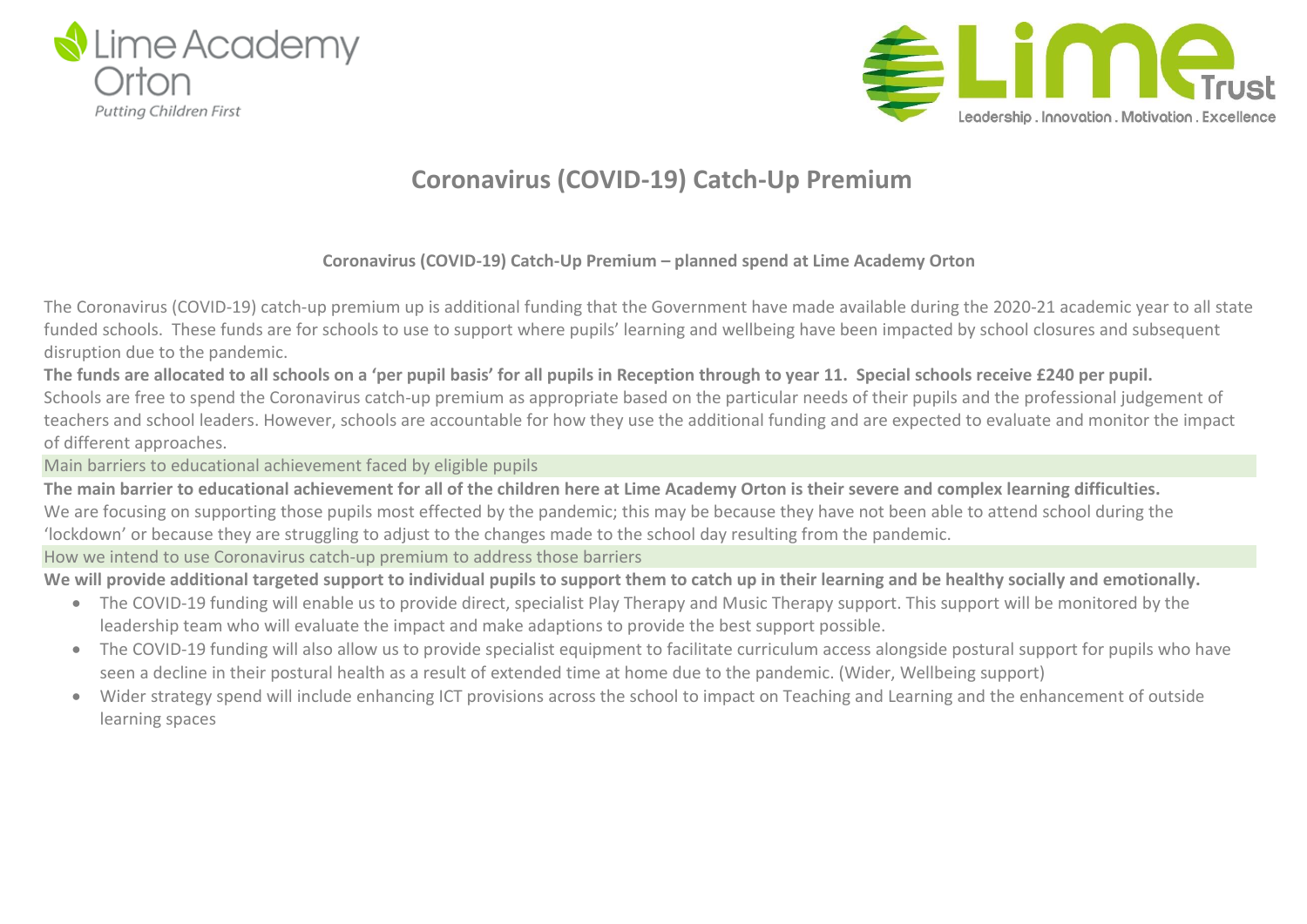



## **Coronavirus (COVID-19) Catch-Up Premium**

### **Coronavirus (COVID-19) Catch-Up Premium – planned spend at Lime Academy Orton**

The Coronavirus (COVID-19) catch-up premium up is additional funding that the Government have made available during the 2020-21 academic year to all state funded schools. These funds are for schools to use to support where pupils' learning and wellbeing have been impacted by school closures and subsequent disruption due to the pandemic.

The funds are allocated to all schools on a 'per pupil basis' for all pupils in Reception through to year 11. Special schools receive £240 per pupil. Schools are free to spend the Coronavirus catch-up premium as appropriate based on the particular needs of their pupils and the professional judgement of teachers and school leaders. However, schools are accountable for how they use the additional funding and are expected to evaluate and monitor the impact of different approaches.

Main barriers to educational achievement faced by eligible pupils

The main barrier to educational achievement for all of the children here at Lime Academy Orton is their severe and complex learning difficulties. We are focusing on supporting those pupils most effected by the pandemic; this may be because they have not been able to attend school during the 'lockdown' or because they are struggling to adjust to the changes made to the school day resulting from the pandemic.

How we intend to use Coronavirus catch-up premium to address those barriers

We will provide additional targeted support to individual pupils to support them to catch up in their learning and be healthy socially and emotionally.

- The COVID-19 funding will enable us to provide direct, specialist Play Therapy and Music Therapy support. This support will be monitored by the leadership team who will evaluate the impact and make adaptions to provide the best support possible.
- The COVID-19 funding will also allow us to provide specialist equipment to facilitate curriculum access alongside postural support for pupils who have seen a decline in their postural health as a result of extended time at home due to the pandemic. (Wider, Wellbeing support)
- Wider strategy spend will include enhancing ICT provisions across the school to impact on Teaching and Learning and the enhancement of outside learning spaces